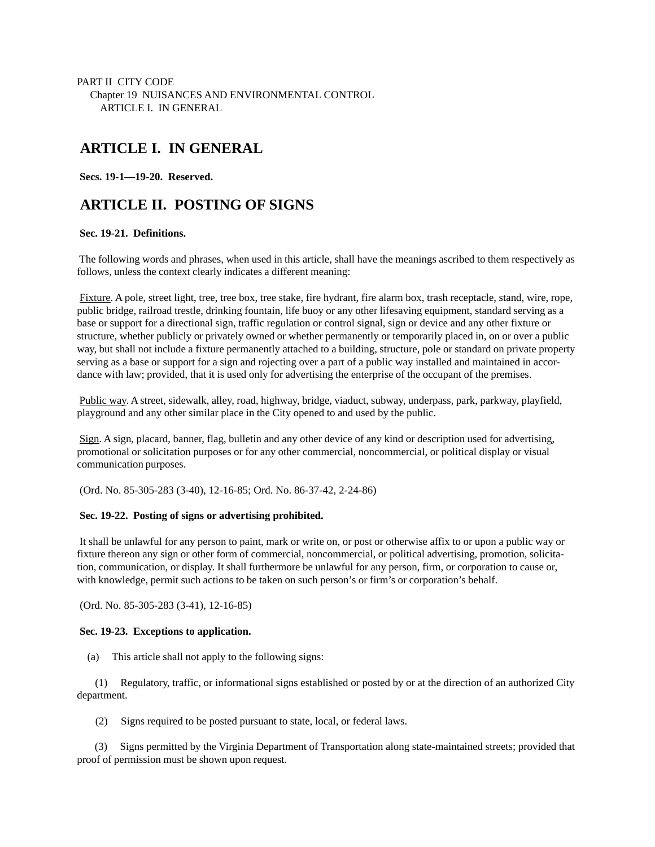PART II CITY CODE Chapter 19 NUISANCES AND ENVIRONMENTAL CONTROL ARTICLE I. IN GENERAL

# **ARTICLE I. IN GENERAL**

 **Secs. 19-1—19-20. Reserved.**

# **ARTICLE II. POSTING OF SIGNS**

#### **Sec. 19-21. Definitions.**

 The following words and phrases, when used in this article, shall have the meanings ascribed to them respectively as follows, unless the context clearly indicates a different meaning:

Fixture. A pole, street light, tree, tree box, tree stake, fire hydrant, fire alarm box, trash receptacle, stand, wire, rope, public bridge, railroad trestle, drinking fountain, life buoy or any other lifesaving equipment, standard serving as a base or support for a directional sign, traffic regulation or control signal, sign or device and any other fixture or structure, whether publicly or privately owned or whether permanently or temporarily placed in, on or over a public way, but shall not include a fixture permanently attached to a building, structure, pole or standard on private property serving as a base or support for a sign and rojecting over a part of a public way installed and maintained in accordance with law; provided, that it is used only for advertising the enterprise of the occupant of the premises.

Public way. A street, sidewalk, alley, road, highway, bridge, viaduct, subway, underpass, park, parkway, playfield, playground and any other similar place in the City opened to and used by the public.

Sign. A sign, placard, banner, flag, bulletin and any other device of any kind or description used for advertising, promotional or solicitation purposes or for any other commercial, noncommercial, or political display or visual communication purposes.

(Ord. No. 85-305-283 (3-40), 12-16-85; Ord. No. 86-37-42, 2-24-86)

## **Sec. 19-22. Posting of signs or advertising prohibited.**

 It shall be unlawful for any person to paint, mark or write on, or post or otherwise affix to or upon a public way or fixture thereon any sign or other form of commercial, noncommercial, or political advertising, promotion, solicitation, communication, or display. It shall furthermore be unlawful for any person, firm, or corporation to cause or, with knowledge, permit such actions to be taken on such person's or firm's or corporation's behalf.

(Ord. No. 85-305-283 (3-41), 12-16-85)

## **Sec. 19-23. Exceptions to application.**

(a) This article shall not apply to the following signs:

 (1) Regulatory, traffic, or informational signs established or posted by or at the direction of an authorized City department.

(2) Signs required to be posted pursuant to state, local, or federal laws.

 (3) Signs permitted by the Virginia Department of Transportation along state-maintained streets; provided that proof of permission must be shown upon request.